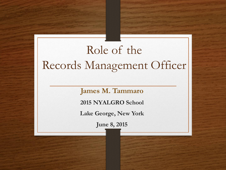### Role of the Records Management Officer

**James M. Tammaro**

**2015 NYALGRO School**

**Lake George, New York**

**June 8, 2015**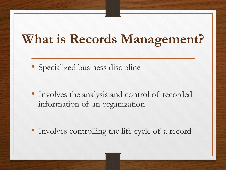### **What is Records Management?**

• Specialized business discipline

• Involves the analysis and control of recorded information of an organization

• Involves controlling the life cycle of a record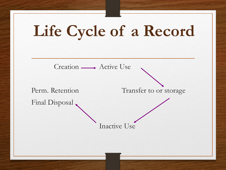

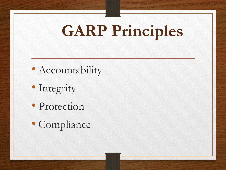# **GARP Principles**

- Accountability
- Integrity
- Protection
- Compliance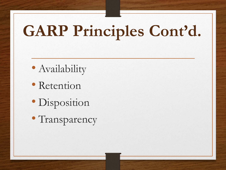# **GARP Principles Cont'd.**

- Availability
- Retention
- Disposition
- Transparency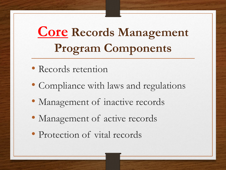### **Core Records Management Program Components**

- Records retention
- Compliance with laws and regulations
- Management of inactive records
- Management of active records
- Protection of vital records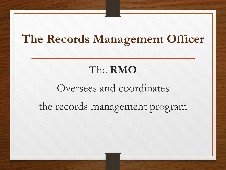#### **The Records Management Officer**

#### The **RMO**

### Oversees and coordinates the records management program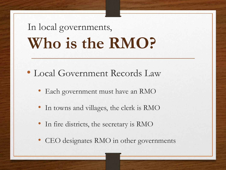## In local governments, **Who is the RMO?**

- Local Government Records Law
	- Each government must have an RMO
	- In towns and villages, the clerk is RMO
	- In fire districts, the secretary is RMO
	- CEO designates RMO in other governments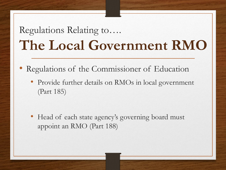### Regulations Relating to…. **The Local Government RMO**

- Regulations of the Commissioner of Education
	- Provide further details on RMOs in local government (Part 185)

• Head of each state agency's governing board must appoint an RMO (Part 188)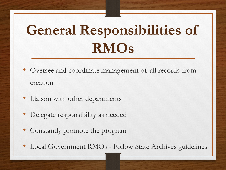# **General Responsibilities of RMOs**

- Oversee and coordinate management of all records from creation
- Liaison with other departments
- Delegate responsibility as needed
- Constantly promote the program
- Local Government RMOs Follow State Archives guidelines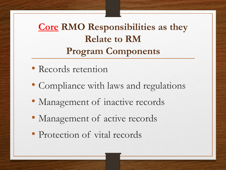**Core RMO Responsibilities as they Relate to RM Program Components**

- Records retention
- Compliance with laws and regulations
- Management of inactive records
- Management of active records
- Protection of vital records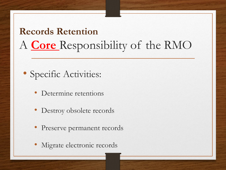#### **Records Retention**  A **Core** Responsibility of the RMO

- Specific Activities:
	- Determine retentions
	- Destroy obsolete records
	- Preserve permanent records
	- Migrate electronic records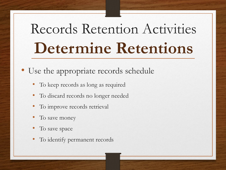# Records Retention Activities **Determine Retentions**

• Use the appropriate records schedule

- To keep records as long as required
- To discard records no longer needed
- To improve records retrieval
- To save money
- To save space
- To identify permanent records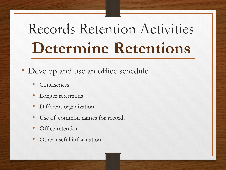# Records Retention Activities **Determine Retentions**

#### • Develop and use an office schedule

- **Conciseness**
- Longer retentions
- Different organization
- Use of common names for records
- Office retention
- Other useful information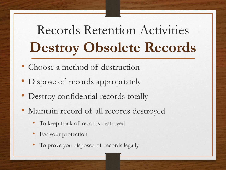# Records Retention Activities **Destroy Obsolete Records**

- Choose a method of destruction
- Dispose of records appropriately
- Destroy confidential records totally
- Maintain record of all records destroyed
	- To keep track of records destroyed
	- For your protection
	- To prove you disposed of records legally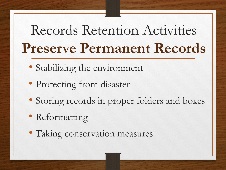# Records Retention Activities **Preserve Permanent Records**

- Stabilizing the environment
- Protecting from disaster
- Storing records in proper folders and boxes
- Reformatting
- Taking conservation measures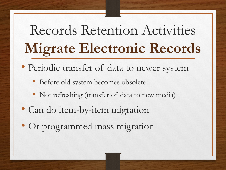# Records Retention Activities **Migrate Electronic Records**

- Periodic transfer of data to newer system
	- Before old system becomes obsolete
	- Not refreshing (transfer of data to new media)
- Can do item-by-item migration
- Or programmed mass migration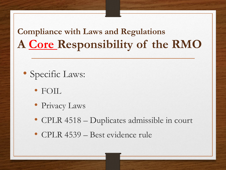#### **Compliance with Laws and Regulations A Core Responsibility of the RMO**

- Specific Laws:
	- FOIL
	- Privacy Laws
	- CPLR 4518 Duplicates admissible in court
	- CPLR 4539 Best evidence rule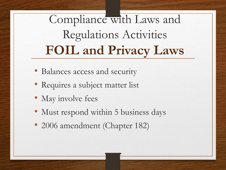Compliance with Laws and Regulations Activities **FOIL and Privacy Laws**

- Balances access and security
- Requires a subject matter list
- May involve fees
- Must respond within 5 business days
- 2006 amendment (Chapter 182)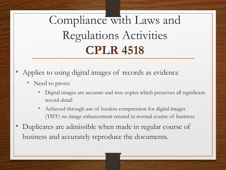Compliance with Laws and Regulations Activities **CPLR 4518**

- Applies to using digital images of records as evidence
	- Need to prove:
		- Digital images are accurate and true copies which preserves all significant record detail
		- Achieved through use of lossless compression for digital images (TIFF) no image enhancement created in normal course of business
- Duplicates are admissible when made in regular course of business and accurately reproduce the documents.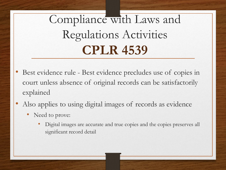Compliance with Laws and Regulations Activities **CPLR 4539**

- Best evidence rule Best evidence precludes use of copies in court unless absence of original records can be satisfactorily explained
- Also applies to using digital images of records as evidence
	- Need to prove:
		- Digital images are accurate and true copies and the copies preserves all significant record detail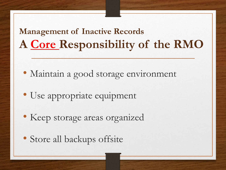#### **Management of Inactive Records A Core Responsibility of the RMO**

• Maintain a good storage environment

- Use appropriate equipment
- Keep storage areas organized
- Store all backups offsite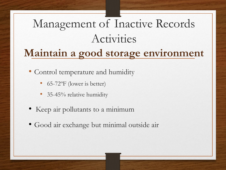# Management of Inactive Records Activities

#### **Maintain a good storage environment**

• Control temperature and humidity

- 65-72°F (lower is better)
- 35-45% relative humidity
- Keep air pollutants to a minimum
- Good air exchange but minimal outside air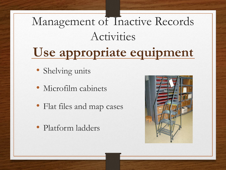## Management of Inactive Records Activities **Use appropriate equipment**

- Shelving units
- Microfilm cabinets
- Flat files and map cases
- Platform ladders

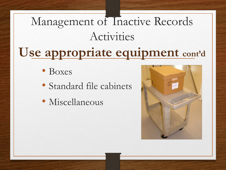## Management of Inactive Records Activities **Use appropriate equipment cont'd**

- Boxes
- Standard file cabinets
- Miscellaneous

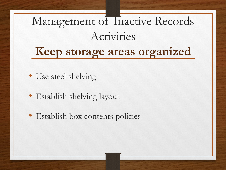### Management of Inactive Records Activities **Keep storage areas organized**

- Use steel shelving
- Establish shelving layout
- Establish box contents policies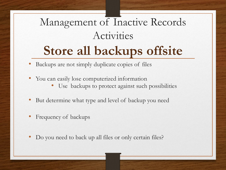### Management of Inactive Records Activities **Store all backups offsite**

- Backups are not simply duplicate copies of files
- You can easily lose computerized information
	- Use backups to protect against such possibilities
- But determine what type and level of backup you need
- Frequency of backups
- Do you need to back up all files or only certain files?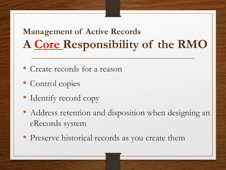#### **Management of Active Records A Core Responsibility of the RMO**

- Create records for a reason
- Control copies
- Identify record copy
- Address retention and disposition when designing an eRecords system
- Preserve historical records as you create them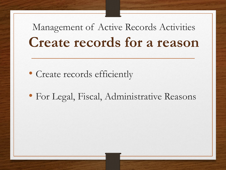#### Management of Active Records Activities **Create records for a reason**

- Create records efficiently
- For Legal, Fiscal, Administrative Reasons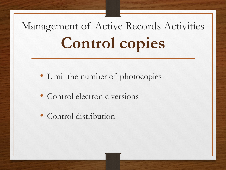# Management of Active Records Activities **Control copies**

- Limit the number of photocopies
- Control electronic versions
- Control distribution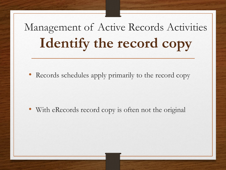## Management of Active Records Activities **Identify the record copy**

• Records schedules apply primarily to the record copy

• With eRecords record copy is often not the original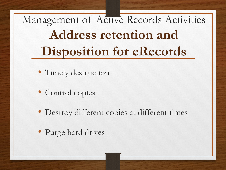Management of Active Records Activities **Address retention and Disposition for eRecords**

- Timely destruction
- Control copies
- Destroy different copies at different times
- Purge hard drives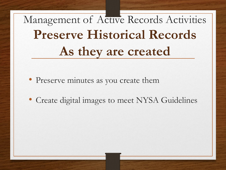# Management of Active Records Activities **Preserve Historical Records As they are created**

- Preserve minutes as you create them
- Create digital images to meet NYSA Guidelines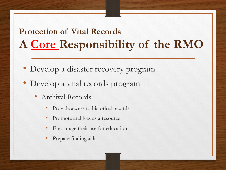#### **Protection of Vital Records A Core Responsibility of the RMO**

- Develop a disaster recovery program
- Develop a vital records program
	- Archival Records
		- Provide access to historical records
		- Promote archives as a resource
		- Encourage their use for education
		- Prepare finding aids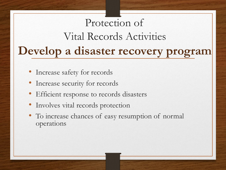#### Protection of Vital Records Activities **Develop a disaster recovery program**

- Increase safety for records
- Increase security for records
- Efficient response to records disasters
- Involves vital records protection
- To increase chances of easy resumption of normal operations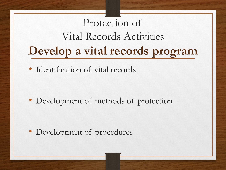### Protection of Vital Records Activities **Develop a vital records program**

• Identification of vital records

• Development of methods of protection

• Development of procedures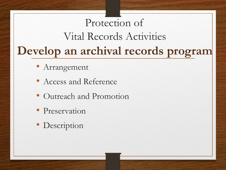### Protection of Vital Records Activities **Develop an archival records program**

- Arrangement
- Access and Reference
- Outreach and Promotion
- Preservation
- Description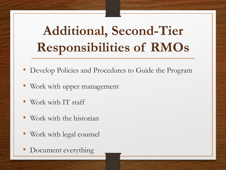## **Additional, Second-Tier Responsibilities of RMOs**

- Develop Policies and Procedures to Guide the Program
- Work with upper management
- Work with IT staff
- Work with the historian
- Work with legal counsel
- Document everything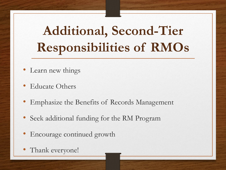## **Additional, Second-Tier Responsibilities of RMOs**

- Learn new things
- Educate Others
- Emphasize the Benefits of Records Management
- Seek additional funding for the RM Program
- Encourage continued growth
- Thank everyone!